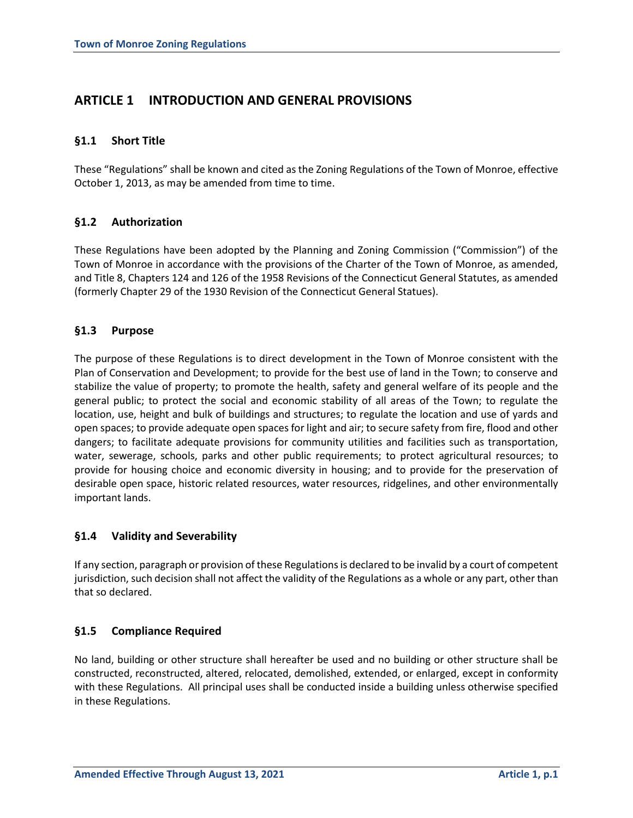# **ARTICLE 1 INTRODUCTION AND GENERAL PROVISIONS**

# **§1.1 Short Title**

These "Regulations" shall be known and cited as the Zoning Regulations of the Town of Monroe, effective October 1, 2013, as may be amended from time to time.

# **§1.2 Authorization**

These Regulations have been adopted by the Planning and Zoning Commission ("Commission") of the Town of Monroe in accordance with the provisions of the Charter of the Town of Monroe, as amended, and Title 8, Chapters 124 and 126 of the 1958 Revisions of the Connecticut General Statutes, as amended (formerly Chapter 29 of the 1930 Revision of the Connecticut General Statues).

# **§1.3 Purpose**

The purpose of these Regulations is to direct development in the Town of Monroe consistent with the Plan of Conservation and Development; to provide for the best use of land in the Town; to conserve and stabilize the value of property; to promote the health, safety and general welfare of its people and the general public; to protect the social and economic stability of all areas of the Town; to regulate the location, use, height and bulk of buildings and structures; to regulate the location and use of yards and open spaces; to provide adequate open spaces for light and air; to secure safety from fire, flood and other dangers; to facilitate adequate provisions for community utilities and facilities such as transportation, water, sewerage, schools, parks and other public requirements; to protect agricultural resources; to provide for housing choice and economic diversity in housing; and to provide for the preservation of desirable open space, historic related resources, water resources, ridgelines, and other environmentally important lands.

# **§1.4 Validity and Severability**

If any section, paragraph or provision of these Regulations is declared to be invalid by a court of competent jurisdiction, such decision shall not affect the validity of the Regulations as a whole or any part, other than that so declared.

# **§1.5 Compliance Required**

No land, building or other structure shall hereafter be used and no building or other structure shall be constructed, reconstructed, altered, relocated, demolished, extended, or enlarged, except in conformity with these Regulations. All principal uses shall be conducted inside a building unless otherwise specified in these Regulations.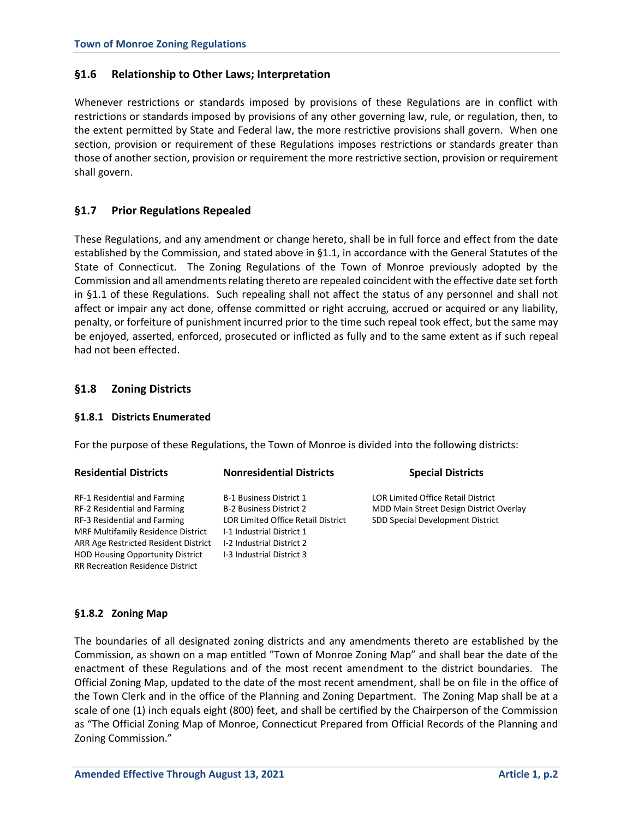# **§1.6 Relationship to Other Laws; Interpretation**

Whenever restrictions or standards imposed by provisions of these Regulations are in conflict with restrictions or standards imposed by provisions of any other governing law, rule, or regulation, then, to the extent permitted by State and Federal law, the more restrictive provisions shall govern. When one section, provision or requirement of these Regulations imposes restrictions or standards greater than those of another section, provision or requirement the more restrictive section, provision or requirement shall govern.

# **§1.7 Prior Regulations Repealed**

These Regulations, and any amendment or change hereto, shall be in full force and effect from the date established by the Commission, and stated above in §1.1, in accordance with the General Statutes of the State of Connecticut. The Zoning Regulations of the Town of Monroe previously adopted by the Commission and all amendments relating thereto are repealed coincident with the effective date set forth in §1.1 of these Regulations. Such repealing shall not affect the status of any personnel and shall not affect or impair any act done, offense committed or right accruing, accrued or acquired or any liability, penalty, or forfeiture of punishment incurred prior to the time such repeal took effect, but the same may be enjoyed, asserted, enforced, prosecuted or inflicted as fully and to the same extent as if such repeal had not been effected.

# **§1.8 Zoning Districts**

# **§1.8.1 Districts Enumerated**

For the purpose of these Regulations, the Town of Monroe is divided into the following districts:

| <b>Residential Districts</b>                | <b>Nonresidential Districts</b>           | <b>Special Districts</b>                  |
|---------------------------------------------|-------------------------------------------|-------------------------------------------|
| RF-1 Residential and Farming                | <b>B-1 Business District 1</b>            | <b>LOR Limited Office Retail District</b> |
| RF-2 Residential and Farming                | <b>B-2 Business District 2</b>            | MDD Main Street Design District Overlay   |
| RF-3 Residential and Farming                | <b>LOR Limited Office Retail District</b> | SDD Special Development District          |
| <b>MRF Multifamily Residence District</b>   | I-1 Industrial District 1                 |                                           |
| <b>ARR Age Restricted Resident District</b> | I-2 Industrial District 2                 |                                           |
| <b>HOD Housing Opportunity District</b>     | <b>I-3 Industrial District 3</b>          |                                           |
| <b>RR Recreation Residence District</b>     |                                           |                                           |

#### **§1.8.2 Zoning Map**

The boundaries of all designated zoning districts and any amendments thereto are established by the Commission, as shown on a map entitled "Town of Monroe Zoning Map" and shall bear the date of the enactment of these Regulations and of the most recent amendment to the district boundaries. The Official Zoning Map, updated to the date of the most recent amendment, shall be on file in the office of the Town Clerk and in the office of the Planning and Zoning Department. The Zoning Map shall be at a scale of one (1) inch equals eight (800) feet, and shall be certified by the Chairperson of the Commission as "The Official Zoning Map of Monroe, Connecticut Prepared from Official Records of the Planning and Zoning Commission."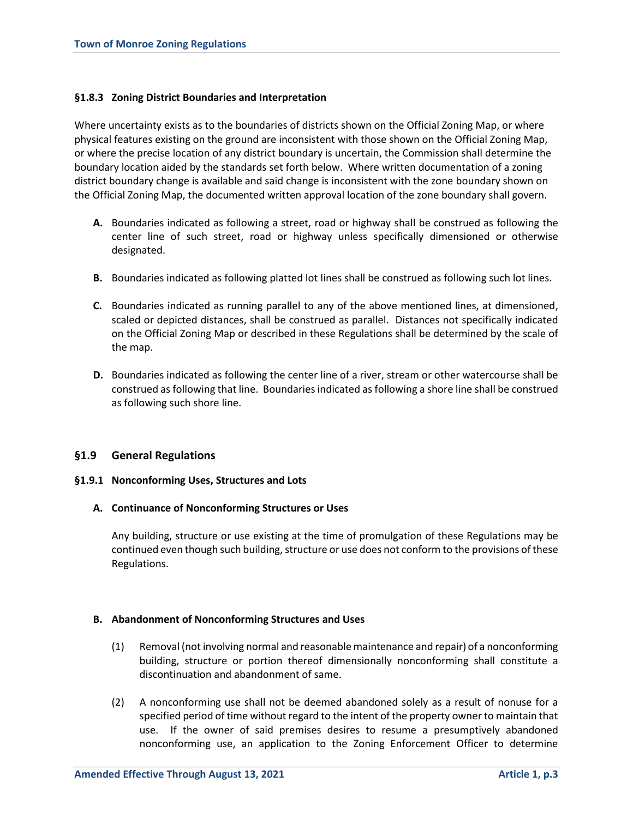### **§1.8.3 Zoning District Boundaries and Interpretation**

Where uncertainty exists as to the boundaries of districts shown on the Official Zoning Map, or where physical features existing on the ground are inconsistent with those shown on the Official Zoning Map, or where the precise location of any district boundary is uncertain, the Commission shall determine the boundary location aided by the standards set forth below. Where written documentation of a zoning district boundary change is available and said change is inconsistent with the zone boundary shown on the Official Zoning Map, the documented written approval location of the zone boundary shall govern.

- **A.** Boundaries indicated as following a street, road or highway shall be construed as following the center line of such street, road or highway unless specifically dimensioned or otherwise designated.
- **B.** Boundaries indicated as following platted lot lines shall be construed as following such lot lines.
- **C.** Boundaries indicated as running parallel to any of the above mentioned lines, at dimensioned, scaled or depicted distances, shall be construed as parallel. Distances not specifically indicated on the Official Zoning Map or described in these Regulations shall be determined by the scale of the map.
- **D.** Boundaries indicated as following the center line of a river, stream or other watercourse shall be construed as following that line. Boundaries indicated as following a shore line shall be construed as following such shore line.

# **§1.9 General Regulations**

#### **§1.9.1 Nonconforming Uses, Structures and Lots**

#### **A. Continuance of Nonconforming Structures or Uses**

Any building, structure or use existing at the time of promulgation of these Regulations may be continued even though such building, structure or use does not conform to the provisions of these Regulations.

#### **B. Abandonment of Nonconforming Structures and Uses**

- (1) Removal (not involving normal and reasonable maintenance and repair) of a nonconforming building, structure or portion thereof dimensionally nonconforming shall constitute a discontinuation and abandonment of same.
- (2) A nonconforming use shall not be deemed abandoned solely as a result of nonuse for a specified period of time without regard to the intent of the property owner to maintain that use. If the owner of said premises desires to resume a presumptively abandoned nonconforming use, an application to the Zoning Enforcement Officer to determine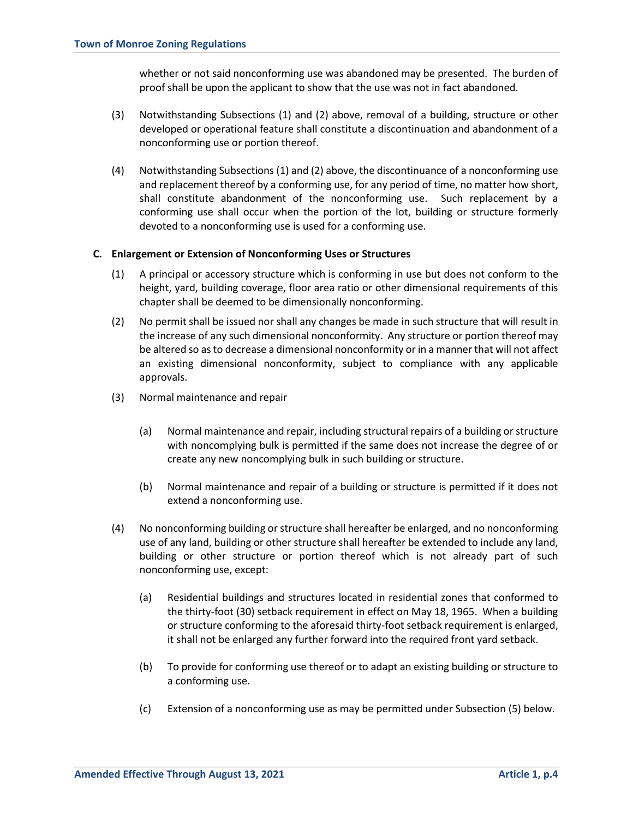whether or not said nonconforming use was abandoned may be presented. The burden of proof shall be upon the applicant to show that the use was not in fact abandoned.

- (3) Notwithstanding Subsections (1) and (2) above, removal of a building, structure or other developed or operational feature shall constitute a discontinuation and abandonment of a nonconforming use or portion thereof.
- (4) Notwithstanding Subsections (1) and (2) above, the discontinuance of a nonconforming use and replacement thereof by a conforming use, for any period of time, no matter how short, shall constitute abandonment of the nonconforming use. Such replacement by a conforming use shall occur when the portion of the lot, building or structure formerly devoted to a nonconforming use is used for a conforming use.

### **C. Enlargement or Extension of Nonconforming Uses or Structures**

- (1) A principal or accessory structure which is conforming in use but does not conform to the height, yard, building coverage, floor area ratio or other dimensional requirements of this chapter shall be deemed to be dimensionally nonconforming.
- (2) No permit shall be issued nor shall any changes be made in such structure that will result in the increase of any such dimensional nonconformity. Any structure or portion thereof may be altered so as to decrease a dimensional nonconformity or in a manner that will not affect an existing dimensional nonconformity, subject to compliance with any applicable approvals.
- (3) Normal maintenance and repair
	- (a) Normal maintenance and repair, including structural repairs of a building or structure with noncomplying bulk is permitted if the same does not increase the degree of or create any new noncomplying bulk in such building or structure.
	- (b) Normal maintenance and repair of a building or structure is permitted if it does not extend a nonconforming use.
- (4) No nonconforming building or structure shall hereafter be enlarged, and no nonconforming use of any land, building or other structure shall hereafter be extended to include any land, building or other structure or portion thereof which is not already part of such nonconforming use, except:
	- (a) Residential buildings and structures located in residential zones that conformed to the thirty-foot (30) setback requirement in effect on May 18, 1965. When a building or structure conforming to the aforesaid thirty-foot setback requirement is enlarged, it shall not be enlarged any further forward into the required front yard setback.
	- (b) To provide for conforming use thereof or to adapt an existing building or structure to a conforming use.
	- (c) Extension of a nonconforming use as may be permitted under Subsection (5) below.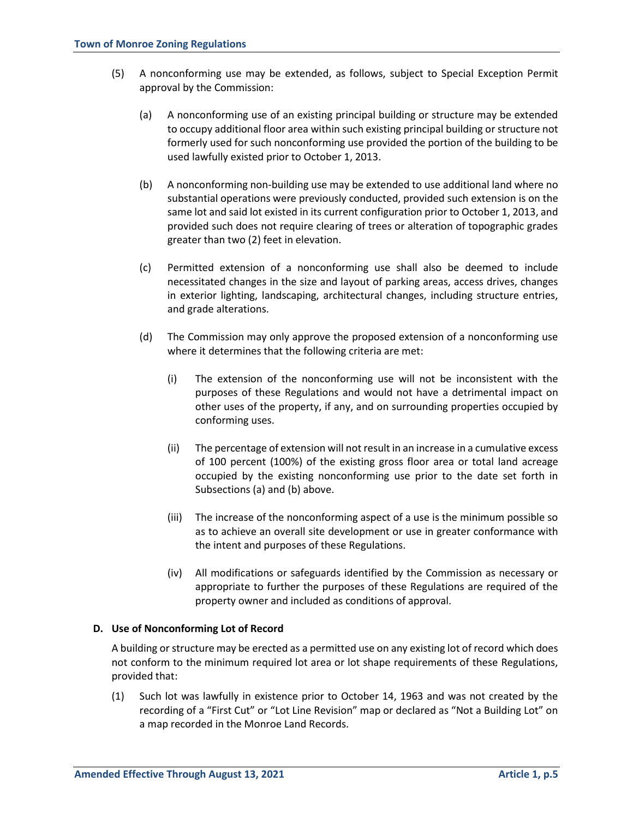- (5) A nonconforming use may be extended, as follows, subject to Special Exception Permit approval by the Commission:
	- (a) A nonconforming use of an existing principal building or structure may be extended to occupy additional floor area within such existing principal building or structure not formerly used for such nonconforming use provided the portion of the building to be used lawfully existed prior to October 1, 2013.
	- (b) A nonconforming non-building use may be extended to use additional land where no substantial operations were previously conducted, provided such extension is on the same lot and said lot existed in its current configuration prior to October 1, 2013, and provided such does not require clearing of trees or alteration of topographic grades greater than two (2) feet in elevation.
	- (c) Permitted extension of a nonconforming use shall also be deemed to include necessitated changes in the size and layout of parking areas, access drives, changes in exterior lighting, landscaping, architectural changes, including structure entries, and grade alterations.
	- (d) The Commission may only approve the proposed extension of a nonconforming use where it determines that the following criteria are met:
		- (i) The extension of the nonconforming use will not be inconsistent with the purposes of these Regulations and would not have a detrimental impact on other uses of the property, if any, and on surrounding properties occupied by conforming uses.
		- (ii) The percentage of extension will not result in an increase in a cumulative excess of 100 percent (100%) of the existing gross floor area or total land acreage occupied by the existing nonconforming use prior to the date set forth in Subsections (a) and (b) above.
		- (iii) The increase of the nonconforming aspect of a use is the minimum possible so as to achieve an overall site development or use in greater conformance with the intent and purposes of these Regulations.
		- (iv) All modifications or safeguards identified by the Commission as necessary or appropriate to further the purposes of these Regulations are required of the property owner and included as conditions of approval.

# **D. Use of Nonconforming Lot of Record**

A building or structure may be erected as a permitted use on any existing lot of record which does not conform to the minimum required lot area or lot shape requirements of these Regulations, provided that:

(1) Such lot was lawfully in existence prior to October 14, 1963 and was not created by the recording of a "First Cut" or "Lot Line Revision" map or declared as "Not a Building Lot" on a map recorded in the Monroe Land Records.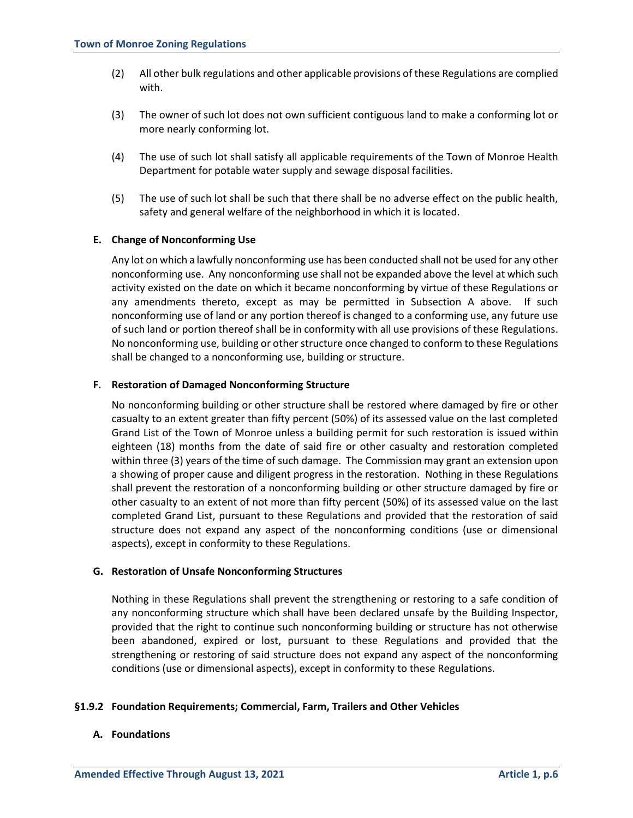- (2) All other bulk regulations and other applicable provisions of these Regulations are complied with.
- (3) The owner of such lot does not own sufficient contiguous land to make a conforming lot or more nearly conforming lot.
- (4) The use of such lot shall satisfy all applicable requirements of the Town of Monroe Health Department for potable water supply and sewage disposal facilities.
- (5) The use of such lot shall be such that there shall be no adverse effect on the public health, safety and general welfare of the neighborhood in which it is located.

### **E. Change of Nonconforming Use**

Any lot on which a lawfully nonconforming use has been conducted shall not be used for any other nonconforming use. Any nonconforming use shall not be expanded above the level at which such activity existed on the date on which it became nonconforming by virtue of these Regulations or any amendments thereto, except as may be permitted in Subsection A above. If such nonconforming use of land or any portion thereof is changed to a conforming use, any future use of such land or portion thereof shall be in conformity with all use provisions of these Regulations. No nonconforming use, building or other structure once changed to conform to these Regulations shall be changed to a nonconforming use, building or structure.

#### **F. Restoration of Damaged Nonconforming Structure**

No nonconforming building or other structure shall be restored where damaged by fire or other casualty to an extent greater than fifty percent (50%) of its assessed value on the last completed Grand List of the Town of Monroe unless a building permit for such restoration is issued within eighteen (18) months from the date of said fire or other casualty and restoration completed within three (3) years of the time of such damage. The Commission may grant an extension upon a showing of proper cause and diligent progress in the restoration. Nothing in these Regulations shall prevent the restoration of a nonconforming building or other structure damaged by fire or other casualty to an extent of not more than fifty percent (50%) of its assessed value on the last completed Grand List, pursuant to these Regulations and provided that the restoration of said structure does not expand any aspect of the nonconforming conditions (use or dimensional aspects), except in conformity to these Regulations.

#### **G. Restoration of Unsafe Nonconforming Structures**

Nothing in these Regulations shall prevent the strengthening or restoring to a safe condition of any nonconforming structure which shall have been declared unsafe by the Building Inspector, provided that the right to continue such nonconforming building or structure has not otherwise been abandoned, expired or lost, pursuant to these Regulations and provided that the strengthening or restoring of said structure does not expand any aspect of the nonconforming conditions (use or dimensional aspects), except in conformity to these Regulations.

# **§1.9.2 Foundation Requirements; Commercial, Farm, Trailers and Other Vehicles**

#### **A. Foundations**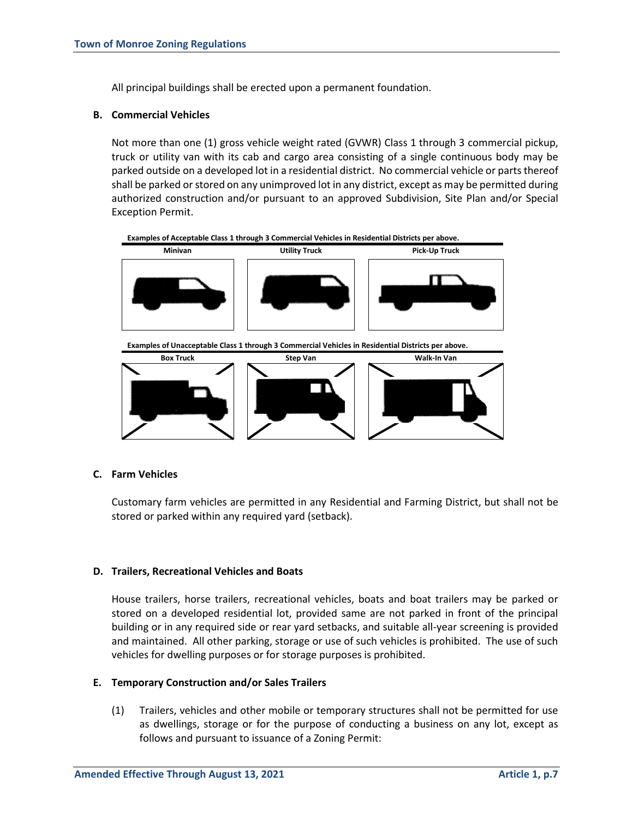All principal buildings shall be erected upon a permanent foundation.

### **B. Commercial Vehicles**

Not more than one (1) gross vehicle weight rated (GVWR) Class 1 through 3 commercial pickup, truck or utility van with its cab and cargo area consisting of a single continuous body may be parked outside on a developed lot in a residential district. No commercial vehicle or parts thereof shall be parked or stored on any unimproved lot in any district, except as may be permitted during authorized construction and/or pursuant to an approved Subdivision, Site Plan and/or Special Exception Permit.



#### **C. Farm Vehicles**

Customary farm vehicles are permitted in any Residential and Farming District, but shall not be stored or parked within any required yard (setback).

#### **D. Trailers, Recreational Vehicles and Boats**

House trailers, horse trailers, recreational vehicles, boats and boat trailers may be parked or stored on a developed residential lot, provided same are not parked in front of the principal building or in any required side or rear yard setbacks, and suitable all-year screening is provided and maintained. All other parking, storage or use of such vehicles is prohibited. The use of such vehicles for dwelling purposes or for storage purposes is prohibited.

#### **E. Temporary Construction and/or Sales Trailers**

(1) Trailers, vehicles and other mobile or temporary structures shall not be permitted for use as dwellings, storage or for the purpose of conducting a business on any lot, except as follows and pursuant to issuance of a Zoning Permit: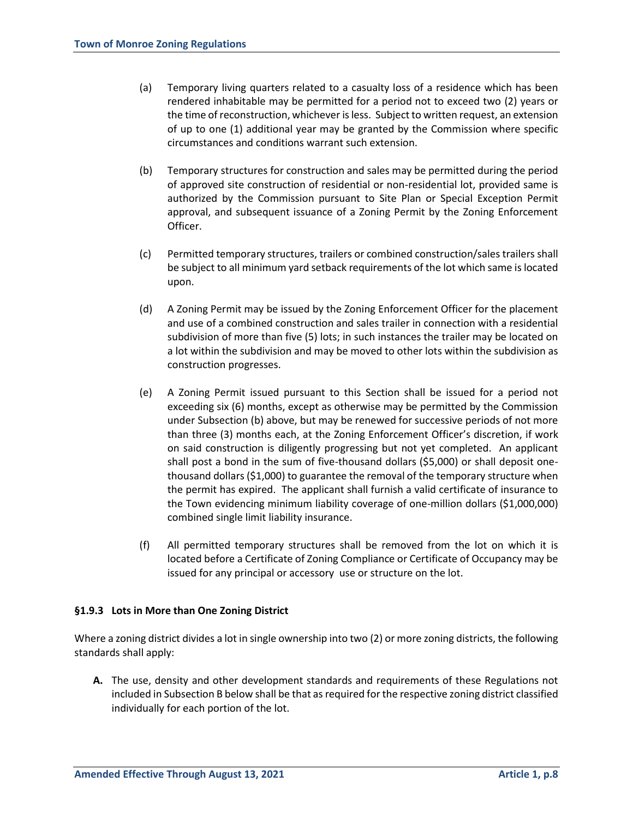- (a) Temporary living quarters related to a casualty loss of a residence which has been rendered inhabitable may be permitted for a period not to exceed two (2) years or the time of reconstruction, whichever is less. Subject to written request, an extension of up to one (1) additional year may be granted by the Commission where specific circumstances and conditions warrant such extension.
- (b) Temporary structures for construction and sales may be permitted during the period of approved site construction of residential or non-residential lot, provided same is authorized by the Commission pursuant to Site Plan or Special Exception Permit approval, and subsequent issuance of a Zoning Permit by the Zoning Enforcement Officer.
- (c) Permitted temporary structures, trailers or combined construction/sales trailers shall be subject to all minimum yard setback requirements of the lot which same is located upon.
- (d) A Zoning Permit may be issued by the Zoning Enforcement Officer for the placement and use of a combined construction and sales trailer in connection with a residential subdivision of more than five (5) lots; in such instances the trailer may be located on a lot within the subdivision and may be moved to other lots within the subdivision as construction progresses.
- (e) A Zoning Permit issued pursuant to this Section shall be issued for a period not exceeding six (6) months, except as otherwise may be permitted by the Commission under Subsection (b) above, but may be renewed for successive periods of not more than three (3) months each, at the Zoning Enforcement Officer's discretion, if work on said construction is diligently progressing but not yet completed. An applicant shall post a bond in the sum of five-thousand dollars (\$5,000) or shall deposit onethousand dollars (\$1,000) to guarantee the removal of the temporary structure when the permit has expired. The applicant shall furnish a valid certificate of insurance to the Town evidencing minimum liability coverage of one-million dollars (\$1,000,000) combined single limit liability insurance.
- (f) All permitted temporary structures shall be removed from the lot on which it is located before a Certificate of Zoning Compliance or Certificate of Occupancy may be issued for any principal or accessory use or structure on the lot.

# **§1.9.3 Lots in More than One Zoning District**

Where a zoning district divides a lot in single ownership into two (2) or more zoning districts, the following standards shall apply:

**A.** The use, density and other development standards and requirements of these Regulations not included in Subsection B below shall be that as required for the respective zoning district classified individually for each portion of the lot.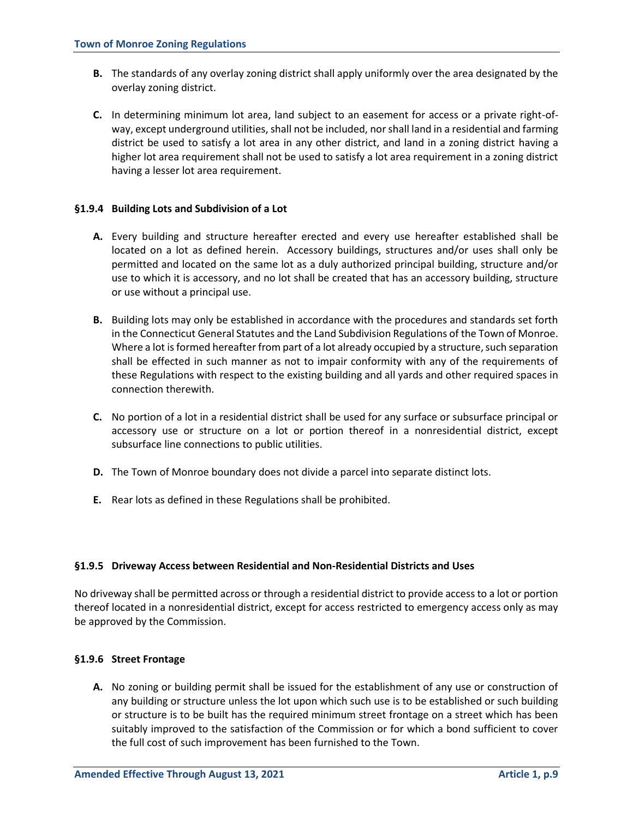- **B.** The standards of any overlay zoning district shall apply uniformly over the area designated by the overlay zoning district.
- **C.** In determining minimum lot area, land subject to an easement for access or a private right-ofway, except underground utilities, shall not be included, nor shall land in a residential and farming district be used to satisfy a lot area in any other district, and land in a zoning district having a higher lot area requirement shall not be used to satisfy a lot area requirement in a zoning district having a lesser lot area requirement.

### **§1.9.4 Building Lots and Subdivision of a Lot**

- **A.** Every building and structure hereafter erected and every use hereafter established shall be located on a lot as defined herein. Accessory buildings, structures and/or uses shall only be permitted and located on the same lot as a duly authorized principal building, structure and/or use to which it is accessory, and no lot shall be created that has an accessory building, structure or use without a principal use.
- **B.** Building lots may only be established in accordance with the procedures and standards set forth in the Connecticut General Statutes and the Land Subdivision Regulations of the Town of Monroe. Where a lot is formed hereafter from part of a lot already occupied by a structure, such separation shall be effected in such manner as not to impair conformity with any of the requirements of these Regulations with respect to the existing building and all yards and other required spaces in connection therewith.
- **C.** No portion of a lot in a residential district shall be used for any surface or subsurface principal or accessory use or structure on a lot or portion thereof in a nonresidential district, except subsurface line connections to public utilities.
- **D.** The Town of Monroe boundary does not divide a parcel into separate distinct lots.
- **E.** Rear lots as defined in these Regulations shall be prohibited.

# **§1.9.5 Driveway Access between Residential and Non-Residential Districts and Uses**

No driveway shall be permitted across or through a residential district to provide access to a lot or portion thereof located in a nonresidential district, except for access restricted to emergency access only as may be approved by the Commission.

# **§1.9.6 Street Frontage**

**A.** No zoning or building permit shall be issued for the establishment of any use or construction of any building or structure unless the lot upon which such use is to be established or such building or structure is to be built has the required minimum street frontage on a street which has been suitably improved to the satisfaction of the Commission or for which a bond sufficient to cover the full cost of such improvement has been furnished to the Town.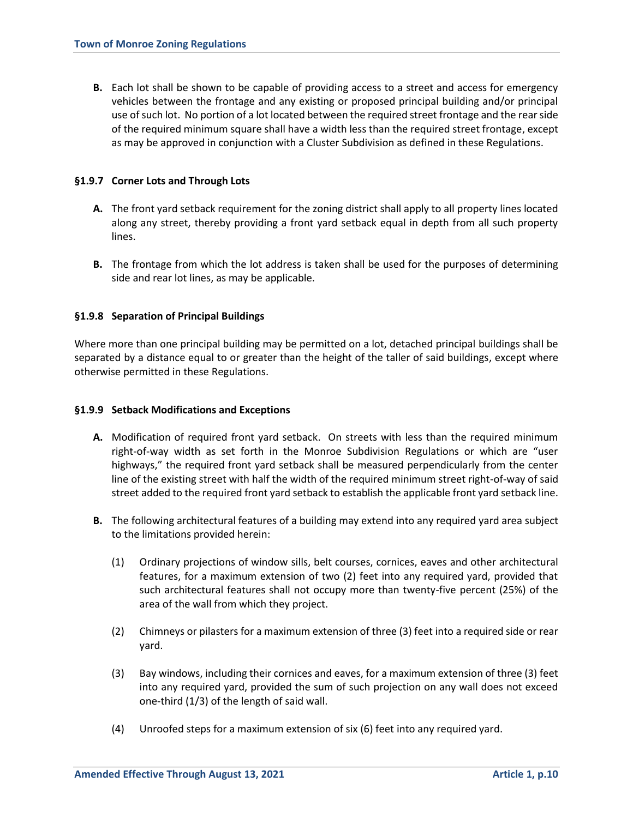**B.** Each lot shall be shown to be capable of providing access to a street and access for emergency vehicles between the frontage and any existing or proposed principal building and/or principal use of such lot. No portion of a lot located between the required street frontage and the rear side of the required minimum square shall have a width less than the required street frontage, except as may be approved in conjunction with a Cluster Subdivision as defined in these Regulations.

### **§1.9.7 Corner Lots and Through Lots**

- **A.** The front yard setback requirement for the zoning district shall apply to all property lines located along any street, thereby providing a front yard setback equal in depth from all such property lines.
- **B.** The frontage from which the lot address is taken shall be used for the purposes of determining side and rear lot lines, as may be applicable.

### **§1.9.8 Separation of Principal Buildings**

Where more than one principal building may be permitted on a lot, detached principal buildings shall be separated by a distance equal to or greater than the height of the taller of said buildings, except where otherwise permitted in these Regulations.

#### **§1.9.9 Setback Modifications and Exceptions**

- **A.** Modification of required front yard setback. On streets with less than the required minimum right-of-way width as set forth in the Monroe Subdivision Regulations or which are "user highways," the required front yard setback shall be measured perpendicularly from the center line of the existing street with half the width of the required minimum street right-of-way of said street added to the required front yard setback to establish the applicable front yard setback line.
- **B.** The following architectural features of a building may extend into any required yard area subject to the limitations provided herein:
	- (1) Ordinary projections of window sills, belt courses, cornices, eaves and other architectural features, for a maximum extension of two (2) feet into any required yard, provided that such architectural features shall not occupy more than twenty-five percent (25%) of the area of the wall from which they project.
	- (2) Chimneys or pilasters for a maximum extension of three (3) feet into a required side or rear yard.
	- (3) Bay windows, including their cornices and eaves, for a maximum extension of three (3) feet into any required yard, provided the sum of such projection on any wall does not exceed one-third (1/3) of the length of said wall.
	- (4) Unroofed steps for a maximum extension of six (6) feet into any required yard.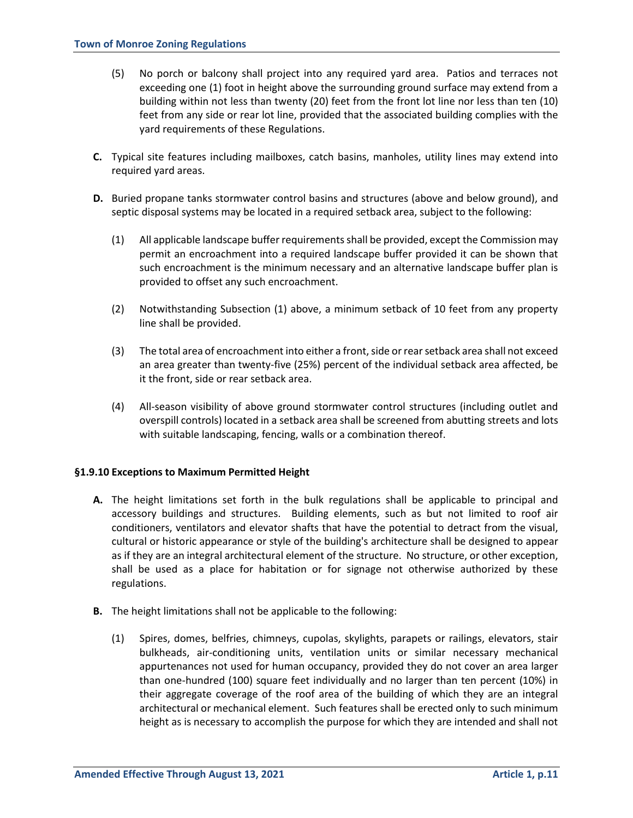- (5) No porch or balcony shall project into any required yard area. Patios and terraces not exceeding one (1) foot in height above the surrounding ground surface may extend from a building within not less than twenty (20) feet from the front lot line nor less than ten (10) feet from any side or rear lot line, provided that the associated building complies with the yard requirements of these Regulations.
- **C.** Typical site features including mailboxes, catch basins, manholes, utility lines may extend into required yard areas.
- **D.** Buried propane tanks stormwater control basins and structures (above and below ground), and septic disposal systems may be located in a required setback area, subject to the following:
	- (1) All applicable landscape buffer requirementsshall be provided, except the Commission may permit an encroachment into a required landscape buffer provided it can be shown that such encroachment is the minimum necessary and an alternative landscape buffer plan is provided to offset any such encroachment.
	- (2) Notwithstanding Subsection (1) above, a minimum setback of 10 feet from any property line shall be provided.
	- (3) The total area of encroachment into either a front, side or rear setback area shall not exceed an area greater than twenty-five (25%) percent of the individual setback area affected, be it the front, side or rear setback area.
	- (4) All-season visibility of above ground stormwater control structures (including outlet and overspill controls) located in a setback area shall be screened from abutting streets and lots with suitable landscaping, fencing, walls or a combination thereof.

# **§1.9.10 Exceptions to Maximum Permitted Height**

- **A.** The height limitations set forth in the bulk regulations shall be applicable to principal and accessory buildings and structures. Building elements, such as but not limited to roof air conditioners, ventilators and elevator shafts that have the potential to detract from the visual, cultural or historic appearance or style of the building's architecture shall be designed to appear as if they are an integral architectural element of the structure. No structure, or other exception, shall be used as a place for habitation or for signage not otherwise authorized by these regulations.
- **B.** The height limitations shall not be applicable to the following:
	- (1) Spires, domes, belfries, chimneys, cupolas, skylights, parapets or railings, elevators, stair bulkheads, air-conditioning units, ventilation units or similar necessary mechanical appurtenances not used for human occupancy, provided they do not cover an area larger than one-hundred (100) square feet individually and no larger than ten percent (10%) in their aggregate coverage of the roof area of the building of which they are an integral architectural or mechanical element. Such features shall be erected only to such minimum height as is necessary to accomplish the purpose for which they are intended and shall not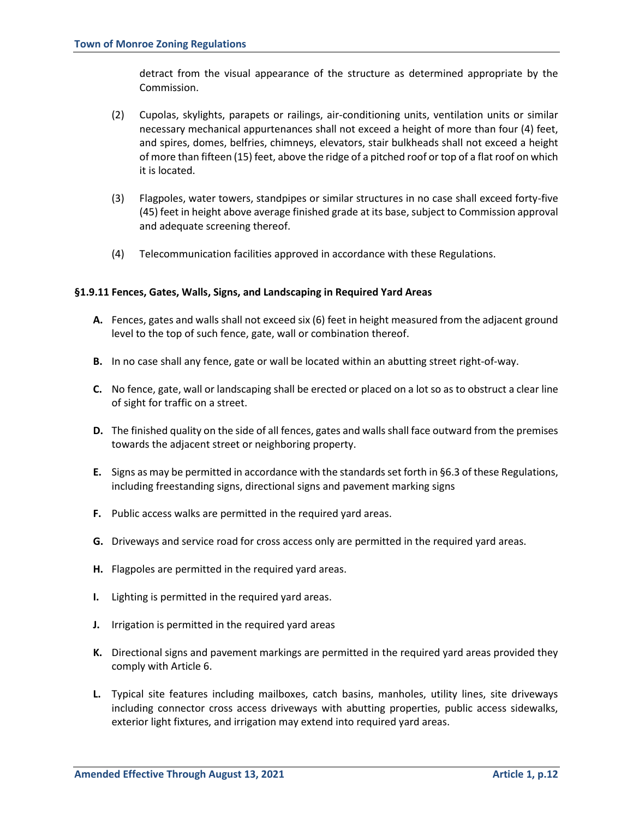detract from the visual appearance of the structure as determined appropriate by the Commission.

- (2) Cupolas, skylights, parapets or railings, air-conditioning units, ventilation units or similar necessary mechanical appurtenances shall not exceed a height of more than four (4) feet, and spires, domes, belfries, chimneys, elevators, stair bulkheads shall not exceed a height of more than fifteen (15) feet, above the ridge of a pitched roof or top of a flat roof on which it is located.
- (3) Flagpoles, water towers, standpipes or similar structures in no case shall exceed forty-five (45) feet in height above average finished grade at its base, subject to Commission approval and adequate screening thereof.
- (4) Telecommunication facilities approved in accordance with these Regulations.

### **§1.9.11 Fences, Gates, Walls, Signs, and Landscaping in Required Yard Areas**

- **A.** Fences, gates and walls shall not exceed six (6) feet in height measured from the adjacent ground level to the top of such fence, gate, wall or combination thereof.
- **B.** In no case shall any fence, gate or wall be located within an abutting street right-of-way.
- **C.** No fence, gate, wall or landscaping shall be erected or placed on a lot so as to obstruct a clear line of sight for traffic on a street.
- **D.** The finished quality on the side of all fences, gates and walls shall face outward from the premises towards the adjacent street or neighboring property.
- **E.** Signs as may be permitted in accordance with the standards set forth in §6.3 of these Regulations, including freestanding signs, directional signs and pavement marking signs
- **F.** Public access walks are permitted in the required yard areas.
- **G.** Driveways and service road for cross access only are permitted in the required yard areas.
- **H.** Flagpoles are permitted in the required yard areas.
- **I.** Lighting is permitted in the required yard areas.
- **J.** Irrigation is permitted in the required yard areas
- **K.** Directional signs and pavement markings are permitted in the required yard areas provided they comply with Article 6.
- **L.** Typical site features including mailboxes, catch basins, manholes, utility lines, site driveways including connector cross access driveways with abutting properties, public access sidewalks, exterior light fixtures, and irrigation may extend into required yard areas.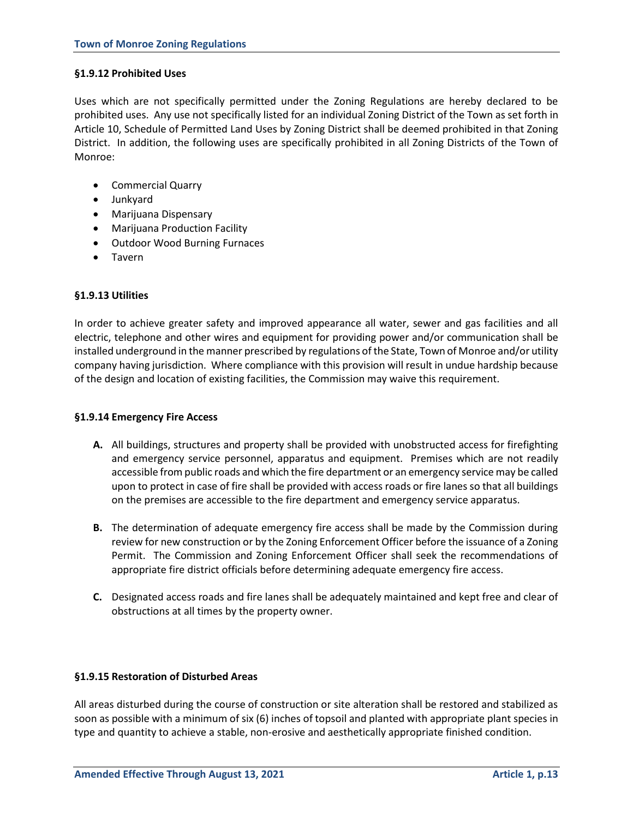#### **§1.9.12 Prohibited Uses**

Uses which are not specifically permitted under the Zoning Regulations are hereby declared to be prohibited uses. Any use not specifically listed for an individual Zoning District of the Town as set forth in Article 10, Schedule of Permitted Land Uses by Zoning District shall be deemed prohibited in that Zoning District. In addition, the following uses are specifically prohibited in all Zoning Districts of the Town of Monroe:

- Commercial Quarry
- Junkyard
- Marijuana Dispensary
- Marijuana Production Facility
- Outdoor Wood Burning Furnaces
- Tavern

### **§1.9.13 Utilities**

In order to achieve greater safety and improved appearance all water, sewer and gas facilities and all electric, telephone and other wires and equipment for providing power and/or communication shall be installed underground in the manner prescribed by regulations of the State, Town of Monroe and/or utility company having jurisdiction. Where compliance with this provision will result in undue hardship because of the design and location of existing facilities, the Commission may waive this requirement.

#### **§1.9.14 Emergency Fire Access**

- **A.** All buildings, structures and property shall be provided with unobstructed access for firefighting and emergency service personnel, apparatus and equipment. Premises which are not readily accessible from public roads and which the fire department or an emergency service may be called upon to protect in case of fire shall be provided with access roads or fire lanes so that all buildings on the premises are accessible to the fire department and emergency service apparatus.
- **B.** The determination of adequate emergency fire access shall be made by the Commission during review for new construction or by the Zoning Enforcement Officer before the issuance of a Zoning Permit. The Commission and Zoning Enforcement Officer shall seek the recommendations of appropriate fire district officials before determining adequate emergency fire access.
- **C.** Designated access roads and fire lanes shall be adequately maintained and kept free and clear of obstructions at all times by the property owner.

#### **§1.9.15 Restoration of Disturbed Areas**

All areas disturbed during the course of construction or site alteration shall be restored and stabilized as soon as possible with a minimum of six (6) inches of topsoil and planted with appropriate plant species in type and quantity to achieve a stable, non-erosive and aesthetically appropriate finished condition.